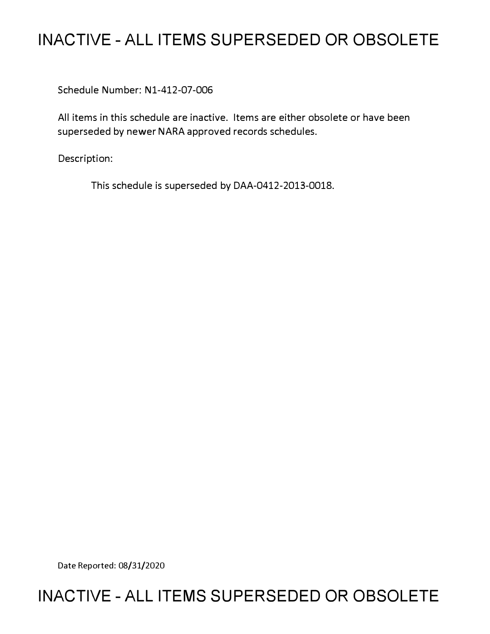# **INACTIVE - ALL ITEMS SUPERSEDED OR OBSOLETE**

Schedule Number: Nl-412-07-006

All items in this schedule are inactive. Items are either obsolete or have been superseded by newer NARA approved records schedules.

Description:

This schedule is superseded by DAA-0412-2013-0018.

Date Reported: 08/31/2020

## **INACTIVE - ALL ITEMS SUPERSEDED OR OBSOLETE**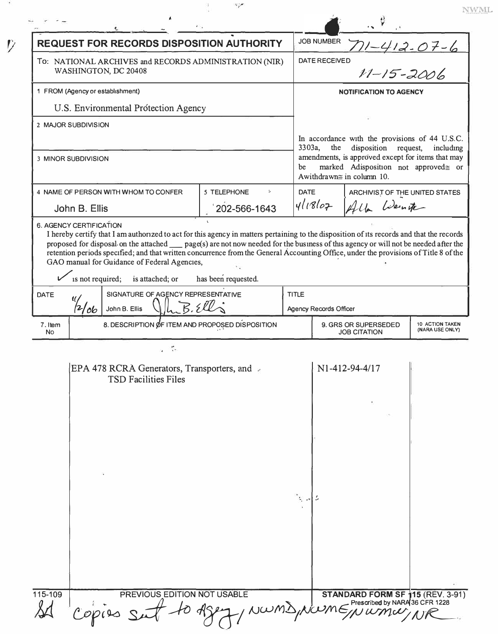| <b>REQUEST FOR RECORDS DISPOSITION AUTHORITY</b>                                                                                                                                                                                                                                 |                     |              | <b>JOB NUMBER</b>                                                                                                            |                                |  |  |
|----------------------------------------------------------------------------------------------------------------------------------------------------------------------------------------------------------------------------------------------------------------------------------|---------------------|--------------|------------------------------------------------------------------------------------------------------------------------------|--------------------------------|--|--|
| To: NATIONAL ARCHIVES and RECORDS ADMINISTRATION (NIR)<br>WASHINGTON, DC 20408                                                                                                                                                                                                   |                     |              | 7)1-412-07-6<br>,<br>11-15-2006<br><b>DATE RECEIVED</b>                                                                      |                                |  |  |
| 1 FROM (Agency or establishment)                                                                                                                                                                                                                                                 |                     |              | <b>NOTIFICATION TO AGENCY</b>                                                                                                |                                |  |  |
| U.S. Environmental Protection Agency                                                                                                                                                                                                                                             |                     |              |                                                                                                                              |                                |  |  |
| 2 MAJOR SUBDIVISION                                                                                                                                                                                                                                                              |                     |              |                                                                                                                              |                                |  |  |
|                                                                                                                                                                                                                                                                                  |                     |              | In accordance with the provisions of 44 U.S.C.<br>3303a,<br>disposition request,<br>the<br>including                         |                                |  |  |
| 3 MINOR SUBDIVISION                                                                                                                                                                                                                                                              |                     |              | amendments, is approved except for items that may<br>marked Adisposition not approved= or<br>be<br>Awithdrawn≅ in column 10. |                                |  |  |
| 4 NAME OF PERSON WITH WHOM TO CONFER                                                                                                                                                                                                                                             | ر<br>5 TELEPHONE    | <b>DATE</b>  |                                                                                                                              | ARCHIVIST OF THE UNITED STATES |  |  |
| John B. Ellis                                                                                                                                                                                                                                                                    | 202-566-1643        |              | 411802                                                                                                                       | Alla Weinter                   |  |  |
| retention periods specified; and that written concurrence from the General Accounting Office, under the provisions of Title 8 of the<br>GAO manual for Guidance of Federal Agencies,<br>is not required;<br>is attached; or<br>SIGNATURE OF AGENCY REPRESENTATIVE<br><b>DATE</b> | has been requested. | <b>TITLE</b> |                                                                                                                              |                                |  |  |
| 'ob<br>John B. Ellis                                                                                                                                                                                                                                                             |                     |              | Agency Records Officer                                                                                                       |                                |  |  |
| 8. DESCRIPTION ØF ITEM AND PROPOSED DISPOSITION<br>7. Item<br><b>No</b>                                                                                                                                                                                                          |                     |              | 9. GRS OR SUPERSEDED<br>10 ACTION TAKEN<br>(NARA USE ONLY)<br><b>JOB CITATION</b>                                            |                                |  |  |
|                                                                                                                                                                                                                                                                                  |                     |              |                                                                                                                              |                                |  |  |
| EPA 478 RCRA Generators, Transporters, and<br><b>TSD Facilities Files</b>                                                                                                                                                                                                        |                     |              |                                                                                                                              | N1-412-94-4/17                 |  |  |
|                                                                                                                                                                                                                                                                                  |                     |              |                                                                                                                              |                                |  |  |
|                                                                                                                                                                                                                                                                                  |                     |              |                                                                                                                              |                                |  |  |
|                                                                                                                                                                                                                                                                                  |                     |              |                                                                                                                              |                                |  |  |
|                                                                                                                                                                                                                                                                                  |                     |              |                                                                                                                              |                                |  |  |
|                                                                                                                                                                                                                                                                                  |                     |              |                                                                                                                              |                                |  |  |
|                                                                                                                                                                                                                                                                                  |                     |              |                                                                                                                              |                                |  |  |
|                                                                                                                                                                                                                                                                                  |                     |              |                                                                                                                              |                                |  |  |
|                                                                                                                                                                                                                                                                                  |                     |              |                                                                                                                              |                                |  |  |

NWML

- 32

 $\mathcal V$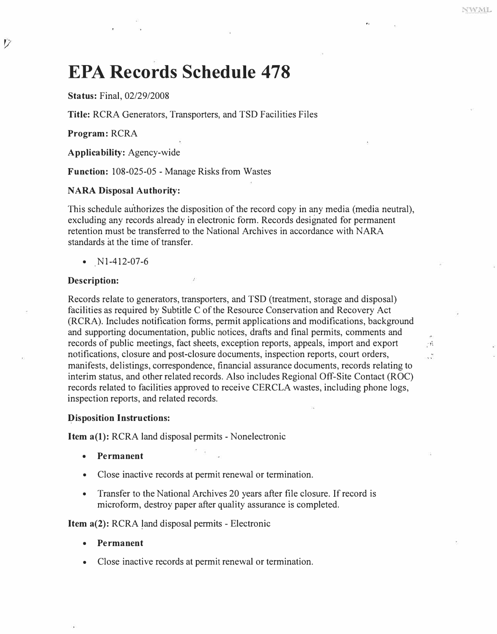$\ddot{\cdot}$ 

## **EPA Records Schedule 478**

**Status:** Final, 02/29/2008

**Title:** RCRA Generators, Transporters, and TSD Facilities Files

**Program:** RCRA

V

**Applicability:** Agency-wide

**Function:** 108-025-05 - Manage Risks from Wastes

#### **NARA Disposal Authority:**

This schedule authorizes the disposition of the record copy in any media (media neutral), excluding any records already in electronic form. Records designated for permanent retention must be transferred to the National Archives in accordance with NARA standards at the time of transfer.

•  $N1-412-07-6$ 

#### **Description:**

Records relate to generators, transporters, and TSD (treatment, storage and disposal) facilities as required by Subtitle C of the Resource Conservation and Recovery Act (RCRA). Includes notification forms, permit applications and modifications, background and supporting documentation, public notices, drafts and final permits, comments and records of public meetings, fact sheets, exception reports, appeals, import and export notifications, closure and post-closure documents, inspection reports, court orders, manifests, delistings, correspondence, financial assurance documents, records relating to interim status, and other related records. Also includes Regional Off-Site Contact (ROC) records related to facilities approved to receive CERCLA wastes, including phone logs, inspection reports, and related records.

#### **Disposition Instructions:**

**Item a(1):** RCRA land disposal permits - Nonelectronic

- **Permanent**
- Close inactive records at permit renewal or termination.
- Transfer to the National Archives 20 years after file closure. If record is microform, destroy paper after quality assurance is completed.

**Item a(2):** RCRA land disposal permits - Electronic

- **Permanent**
- Close inactive records at permit renewal or termination.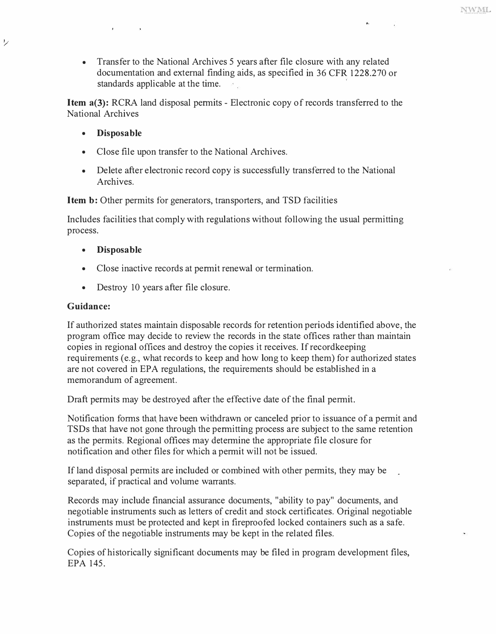**• Transfer to the National Archives 5 years after file closure with any related documentation and external finding aids, as specified in 36 CFR 1228.270 or standards applicable at the time.** 

**Item a(3): RCRA land disposal permits - Electronic copy of records transferred to the National Archives** 

**• Disposable**

 $\epsilon$  and  $\epsilon$ 

*1/* 

- **Close file upon transfer to the National Archives.**
- **Delete after electronic record copy is successfully transferred to the National Archives.**

**Item b: Other permits for generators, transporters, and TSD facilities** 

**Includes facilities that comply with regulations without following the usual permitting process.**

- **Disposable**
- **Close inactive records at permit renewal or termination.**
- **Destroy 10 years after file closure.**

## **Guidance:**

**If authorized states maintain disposable records for retention periods identified above, the program office may decide to review the records in the state offices rather than maintain copies in regional offices and destroy the copies it receives. If recordkeeping requirements (e.g., what records to keep and how long to keep them) for authorized states are not covered in EPA regulations, the requirements should be established in a memorandum of agreement.** 

**Draft permits may be destroyed after the effective date of the final permit.** 

**Notification forms that, have been withdrawn or canceled prior to issuance of a permit and TSDs that have not gone through the permitting process are subject to the same retention as the permits. Regional offices may determine the appropriate file closure for notification and other files for which a permit will not be issued.** 

**If land disposal permits are included or combined with other permits, they may be separated, if practical and volume warrants.** 

**Records may include financial assurance documents, "ability to pay" documents, and negotiable instruments such as letters of credit and stock certificates. Original negotiable instruments must be protected and kept in fireproofed locked containers such as a safe. Copies of the negotiable instruments may be kept in the related files.** 

**Copies of historically significant documents may be filed in program development files, EPA 145.**